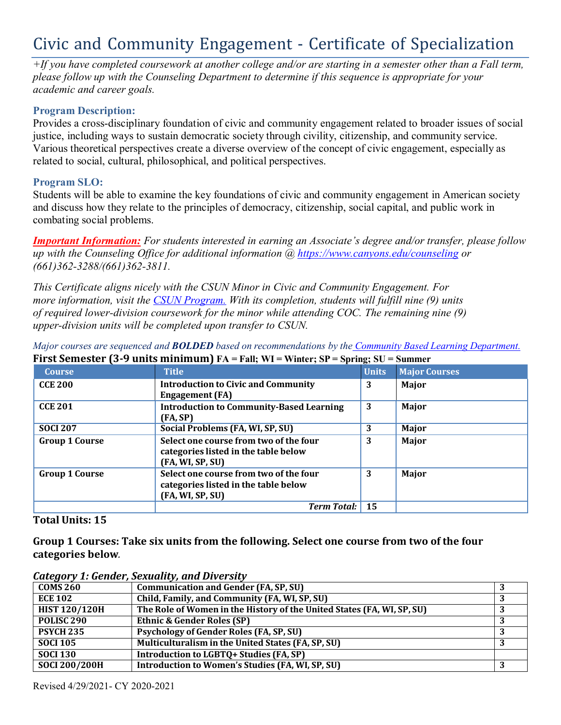# Civic and Community Engagement - Certificate of Specialization

*+If you have completed coursework at another college and/or are starting in a semester other than a Fall term, please follow up with the Counseling Department to determine if this sequence is appropriate for your academic and career goals.*

# **Program Description:**

Provides a cross-disciplinary foundation of civic and community engagement related to broader issues of social justice, including ways to sustain democratic society through civility, citizenship, and community service. Various theoretical perspectives create a diverse overview of the concept of civic engagement, especially as related to social, cultural, philosophical, and political perspectives.

## **Program SLO:**

Students will be able to examine the key foundations of civic and community engagement in American society and discuss how they relate to the principles of democracy, citizenship, social capital, and public work in combating social problems.

*Important Information: For students interested in earning an Associate's degree and/or transfer, please follow up with the Counseling Office for additional information @ https:/[/www.canyons.edu/counseling](http://www.canyons.edu/counseling) or (661)362-3288/(661)362-3811.*

*This Certificate aligns nicely with the CSUN Minor in Civic and Community Engagement. For more information, visit the CSUN Program. With its completion, students will fulfill nine (9) units of required lower-division coursework for the minor while attending COC. The remaining nine (9) upper-division units will be completed upon transfer to CSUN.*

*Major courses are sequenced and BOLDED based on recommendations by the Community Based Learning Department.* **First Semester (3-9 units minimum) FA = Fall; WI = Winter; SP = Spring; SU = Summer**

| <b>Course</b>         | <b>Title</b>                                                                                       | $\mathbf{C}$<br><b>Units</b> | <b>Major Courses</b> |
|-----------------------|----------------------------------------------------------------------------------------------------|------------------------------|----------------------|
| <b>CCE 200</b>        | <b>Introduction to Civic and Community</b><br><b>Engagement</b> (FA)                               | 3                            | Major                |
| <b>CCE 201</b>        | <b>Introduction to Community-Based Learning</b><br>(FA, SP)                                        | 3                            | Major                |
| <b>SOCI 207</b>       | Social Problems (FA, WI, SP, SU)                                                                   | 3                            | Major                |
| <b>Group 1 Course</b> | Select one course from two of the four<br>categories listed in the table below<br>(FA, WI, SP, SU) | 3                            | Major                |
| <b>Group 1 Course</b> | Select one course from two of the four<br>categories listed in the table below<br>(FA, WI, SP, SU) | 3                            | Major                |
|                       | <b>Term Total:</b>                                                                                 | 15                           |                      |

## **Total Units: 15**

**Group 1 Courses: Take six units from the following. Select one course from two of the four categories below***.*

*Category 1: Gender, Sexuality, and Diversity*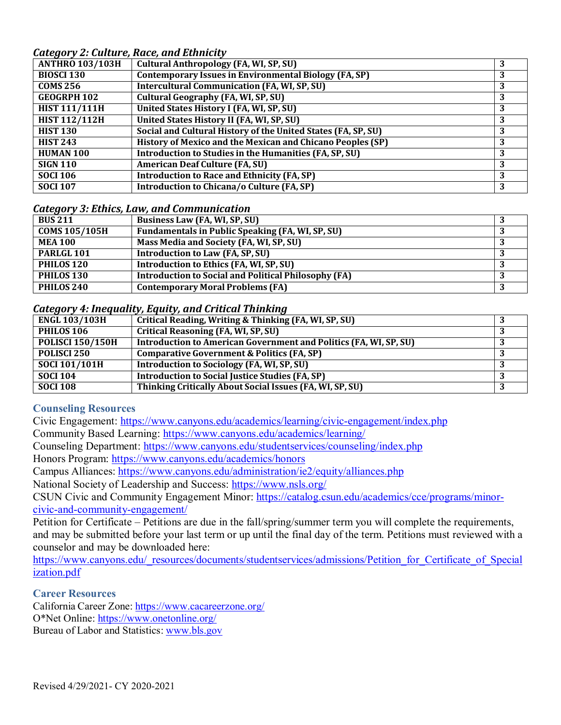*Category 2: Culture, Race, and Ethnicity*

| catcyor y 2. cantar c, nacc, and Bennicity<br><b>ANTHRO 103/103H</b> | <b>Cultural Anthropology (FA, WI, SP, SU)</b>                 |   |
|----------------------------------------------------------------------|---------------------------------------------------------------|---|
|                                                                      |                                                               |   |
| <b>BIOSCI 130</b>                                                    | <b>Contemporary Issues in Environmental Biology (FA, SP)</b>  | 3 |
| <b>COMS 256</b>                                                      | <b>Intercultural Communication (FA, WI, SP, SU)</b>           | 3 |
| <b>GEOGRPH 102</b>                                                   | Cultural Geography (FA, WI, SP, SU)                           | 3 |
| <b>HIST 111/111H</b>                                                 | United States History I (FA, WI, SP, SU)                      | 3 |
| <b>HIST 112/112H</b>                                                 | United States History II (FA, WI, SP, SU)                     | 3 |
| <b>HIST 130</b>                                                      | Social and Cultural History of the United States (FA, SP, SU) | 3 |
| <b>HIST 243</b>                                                      | History of Mexico and the Mexican and Chicano Peoples (SP)    | 3 |
| <b>HUMAN 100</b>                                                     | Introduction to Studies in the Humanities (FA, SP, SU)        | 3 |
| <b>SIGN 110</b>                                                      | <b>American Deaf Culture (FA, SU)</b>                         | 3 |
| <b>SOCI 106</b>                                                      | <b>Introduction to Race and Ethnicity (FA, SP)</b>            | 3 |
| <b>SOCI 107</b>                                                      | Introduction to Chicana/o Culture (FA, SP)                    | 3 |

#### *Category 3: Ethics, Law, and Communication*

| <b>BUS 211</b>        | Business Law (FA, WI, SP, SU)                               |  |
|-----------------------|-------------------------------------------------------------|--|
| <b>COMS 105/105H</b>  | Fundamentals in Public Speaking (FA, WI, SP, SU)            |  |
| <b>MEA 100</b>        | Mass Media and Society (FA, WI, SP, SU)                     |  |
| PARLGL <sub>101</sub> | Introduction to Law (FA, SP, SU)                            |  |
| PHILOS 120            | Introduction to Ethics (FA, WI, SP, SU)                     |  |
| PHILOS <sub>130</sub> | <b>Introduction to Social and Political Philosophy (FA)</b> |  |
| PHILOS 240            | <b>Contemporary Moral Problems (FA)</b>                     |  |

#### *Category 4: Inequality, Equity, and Critical Thinking*

| <b>ENGL 103/103H</b>    | Critical Reading, Writing & Thinking (FA, WI, SP, SU)             |  |
|-------------------------|-------------------------------------------------------------------|--|
| PHILOS 106              | Critical Reasoning (FA, WI, SP, SU)                               |  |
| <b>POLISCI 150/150H</b> | Introduction to American Government and Politics (FA, WI, SP, SU) |  |
| POLISCI <sub>250</sub>  | <b>Comparative Government &amp; Politics (FA, SP)</b>             |  |
| <b>SOCI 101/101H</b>    | Introduction to Sociology (FA, WI, SP, SU)                        |  |
| <b>SOCI 104</b>         | <b>Introduction to Social Justice Studies (FA, SP)</b>            |  |
| <b>SOCI 108</b>         | Thinking Critically About Social Issues (FA, WI, SP, SU)          |  |

# **Counseling Resources**

Civic Engagement: http[s://ww](http://www.canyons.edu/academics/learning/civic-engagement/index.php)w[.canyons.edu/academics/learning/civic-engagement/index.php](http://www.canyons.edu/academics/learning/civic-engagement/index.php)

Community Based Learning: http[s://ww](http://www.canyons.edu/academics/learning/)w[.canyons.edu/academics/learning/](http://www.canyons.edu/academics/learning/)

Counseling Department: https:/[/www.canyons.edu/studentservices/counseling/index.php](http://www.canyons.edu/studentservices/counseling/index.php)

Honors Program: https:/[/www.canyons.edu/academics/honors](http://www.canyons.edu/academics/honors)

Campus Alliances: https:/[/www.canyons.edu/administration/ie2/equity/alliances.php](http://www.canyons.edu/administration/ie2/equity/alliances.php)

National Society of Leadership and Success: https:/[/www.nsls.org/](http://www.nsls.org/)

CSUN Civic and Community Engagement Minor: https://catalog.csun.edu/academics/cce/programs/minorcivic-and-community-engagement/

Petition for Certificate – Petitions are due in the fall/spring/summer term you will complete the requirements, and may be submitted before your last term or up until the final day of the term. Petitions must reviewed with a counselor and may be downloaded here:

https:/[/www.canyons.edu/\\_resources/documents/studentservices/admissions/Petition\\_for\\_Certificate\\_of\\_Special](http://www.canyons.edu/_resources/documents/studentservices/admissions/Petition_for_Certificate_of_Special) ization.pdf

#### **Career Resources**

California Career Zone: https:/[/www.cacareerzone.org/](http://www.cacareerzone.org/) O\*Net Online: https:/[/www.onetonline.org/](http://www.onetonline.org/) Bureau of Labor and Statistics: [www.bls.gov](http://www.bls.gov/)